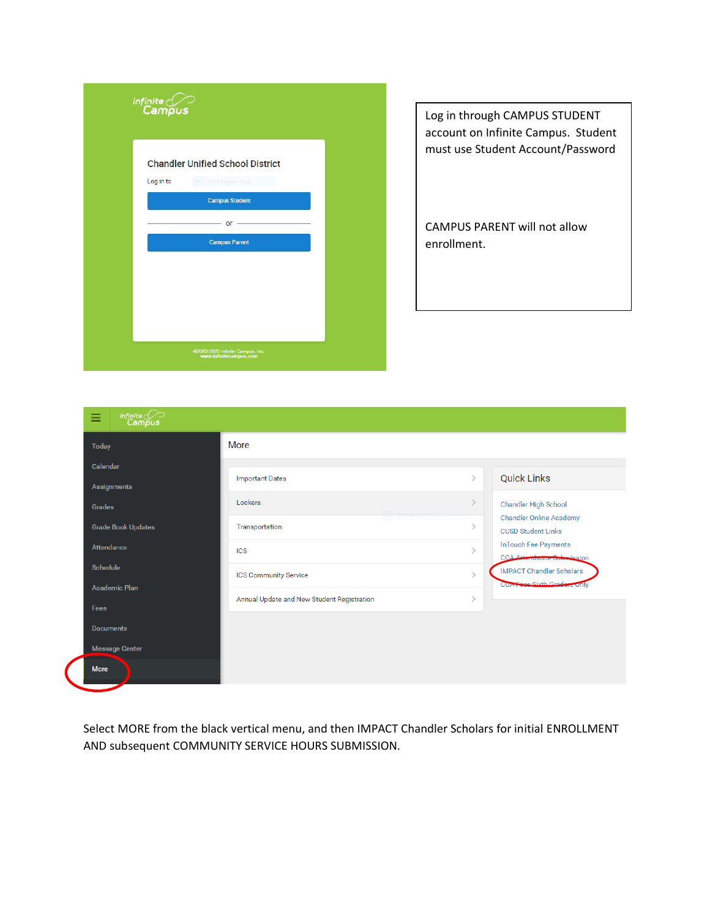| Infinite<br>Campus                                                         |  |
|----------------------------------------------------------------------------|--|
| <b>Chandler Unified School District</b><br>Log in to<br>• Rectangular Snip |  |
| <b>Campus Student</b>                                                      |  |
| $or -$                                                                     |  |
| <b>Campus Parent</b>                                                       |  |
|                                                                            |  |
|                                                                            |  |
|                                                                            |  |
|                                                                            |  |
| @2003-2020 Infinite Campus, Inc.<br>www.infinitecampus.com                 |  |

Log in through CAMPUS STUDENT account on Infinite Campus. Student must use Student Account/Password

CAMPUS PARENT will not allow enrollment.

| <b>Today</b>              | More                                       |                   |                                                                |
|---------------------------|--------------------------------------------|-------------------|----------------------------------------------------------------|
| Calendar<br>Assignments   | <b>Important Dates</b>                     | $\mathcal{P}$     | <b>Quick Links</b>                                             |
| Grades                    | Lockers                                    | $\mathcal{P}$     | Chandler High School                                           |
| <b>Grade Book Updates</b> | Transportation                             | >                 | <b>Chandler Online Academy</b><br><b>CUSD Student Links</b>    |
| Attendance                | <b>ICS</b>                                 | $\mathbf{v}$      | InTouch Fee Payments<br><b>COA Attendance Submission</b>       |
| Schedule<br>Academic Plan | <b>ICS Community Service</b>               | $\mathbf{\hat{}}$ | <b>IMPACT Chandler Scholars</b><br>CUA Fees Sixth Graders Unly |
| Fees                      | Annual Update and New Student Registration | $\mathcal{P}$     |                                                                |
| <b>Documents</b>          |                                            |                   |                                                                |
| <b>Message Center</b>     |                                            |                   |                                                                |

Select MORE from the black vertical menu, and then IMPACT Chandler Scholars for initial ENROLLMENT AND subsequent COMMUNITY SERVICE HOURS SUBMISSION.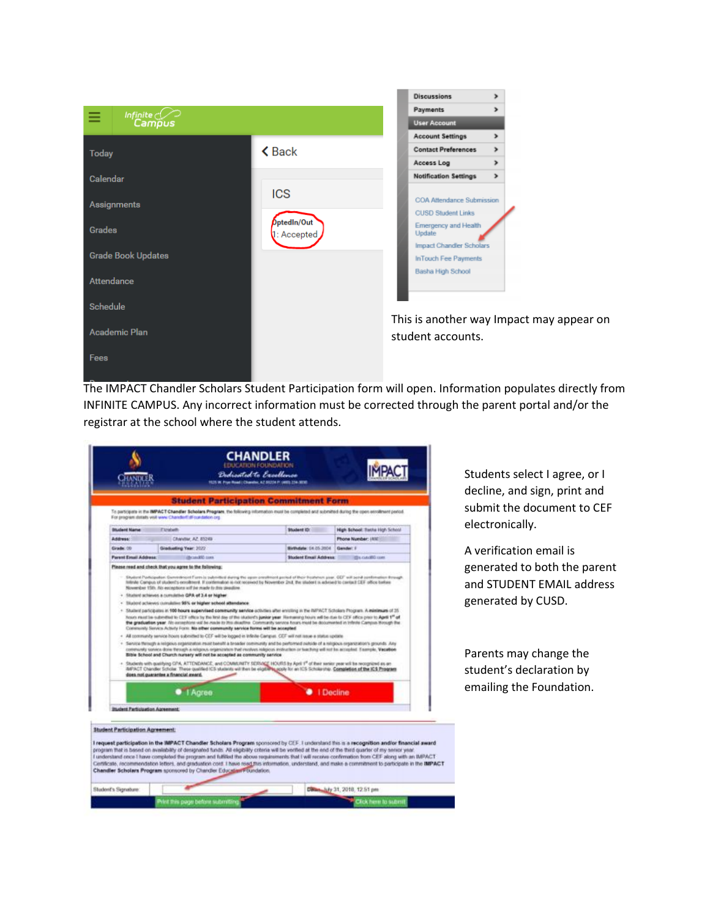

The IMPACT Chandler Scholars Student Participation form will open. Information populates directly from INFINITE CAMPUS. Any incorrect information must be corrected through the parent portal and/or the registrar at the school where the student attends.



T.

Director 14y 31, 2018, 12.51 pm

Close here to submit

Student's Signature:

Print this page before submitting

Students select I agree, or I decline, and sign, print and submit the document to CEF electronically.

A verification email is generated to both the parent and STUDENT EMAIL address generated by CUSD.

Parents may change the student's declaration by emailing the Foundation.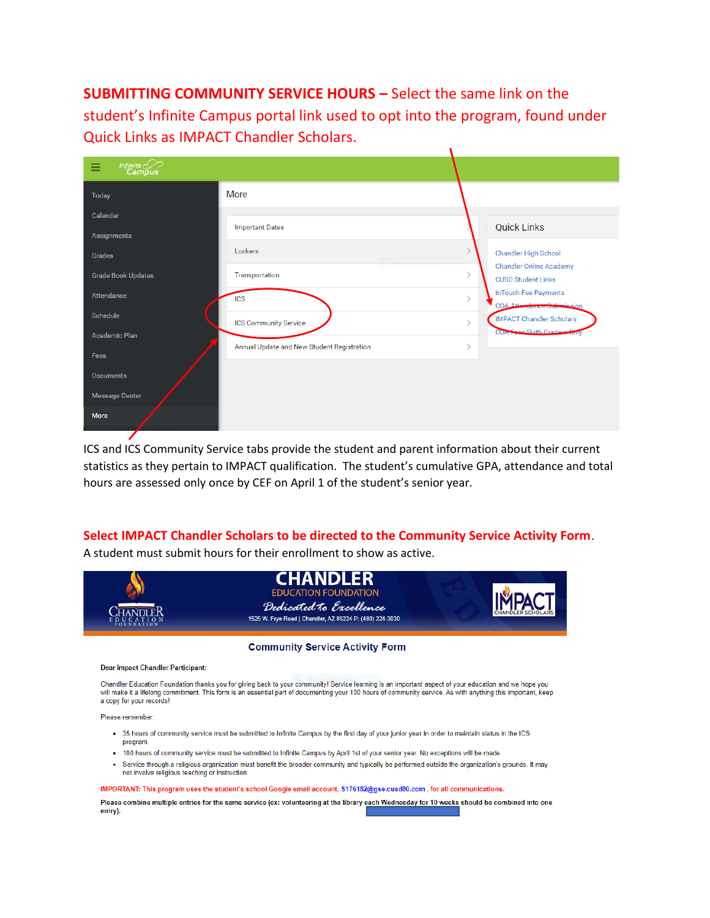**SUBMITTING COMMUNITY SERVICE HOURS –** Select the same link on the student's Infinite Campus portal link used to opt into the program, found under Quick Links as IMPACT Chandler Scholars.

 $\mathbf{I}$ 

| $Infinite \n\begin{matrix}\nIm\end{matrix}$<br>Ξ |                                            |                                                                  |
|--------------------------------------------------|--------------------------------------------|------------------------------------------------------------------|
| <b>Today</b>                                     | More                                       |                                                                  |
| Calendar                                         |                                            |                                                                  |
| Assignments                                      | <b>Important Dates</b>                     | <b>Quick Links</b>                                               |
| Grades                                           | Lockers                                    | Chandler High School                                             |
| <b>Grade Book Updates</b>                        | Transportation                             | <b>Chandler Online Academy</b><br>N<br><b>CUSD Student Links</b> |
| Attendance                                       | <b>ICS</b>                                 | InTouch Fee Payments<br>N<br><b>COA Attondance Submission</b>    |
| <b>Schedule</b>                                  | <b>ICS Community Service</b>               | <b>IMPACT Chandler Scholars</b><br>N                             |
| <b>Academic Plan</b>                             | Annual Update and New Student Registration | CUA Fooe Sixth Gradere Only<br>$\mathbf{\mathcal{E}}$            |
| Fees                                             |                                            |                                                                  |
| <b>Documents</b>                                 |                                            |                                                                  |
| <b>Message Center</b>                            |                                            |                                                                  |
| <b>More</b>                                      |                                            |                                                                  |

ICS and ICS Community Service tabs provide the student and parent information about their current statistics as they pertain to IMPACT qualification. The student's cumulative GPA, attendance and total hours are assessed only once by CEF on April 1 of the student's senior year.

## **Select IMPACT Chandler Scholars to be directed to the Community Service Activity Form**.

A student must submit hours for their enrollment to show as active.



## **Community Service Activity Form**

## **Dear Impact Chandler Participant:**

Chandler Education Foundation thanks you for giving back to your community! Service learning is an important aspect of your education and we hope you will make it a lifelong commitment. This form is an essential part of documenting your 100 hours of community service. As with anything this important, keep a copy for your records!

Please remember

- 35 hours of community service must be submitted to Infinite Campus by the first day of your junior year in order to maintain status in the ICS program.
- . 100 hours of community service must be submitted to Infinite Campus by April 1st of your senior year. No exceptions will be made.
- · Service through a religious organization must benefit the broader community and typically be performed outside the organization's grounds. It may not involve religious teaching or instruction.

## IMPORTANT: This program uses the student's school Google email account, S176182@gse.cusd80.com, for all communications.

Please combine multiple entries for the same service (ex: volunteering at the library each Wednesday for 10 weeks should be combined into one entry).